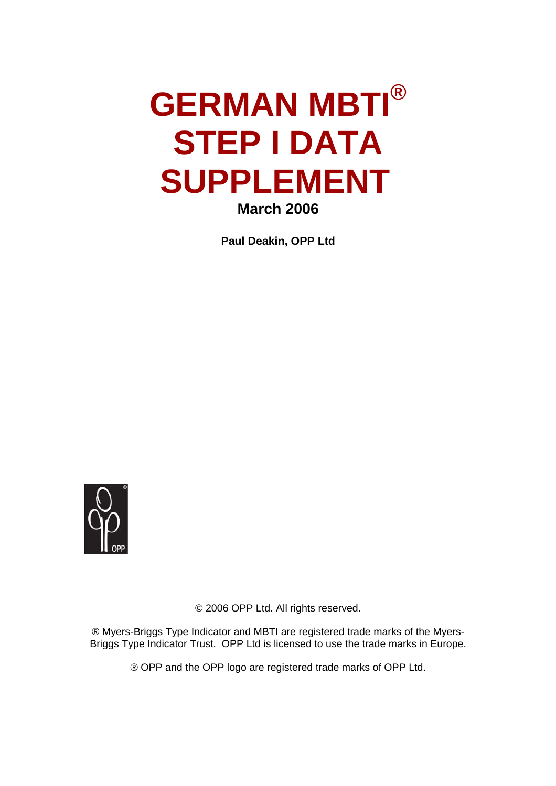# **GERMAN MBTI® STEP I DATA SUPPLEMENT March 2006**

**Paul Deakin, OPP Ltd** 



© 2006 OPP Ltd. All rights reserved.

® Myers-Briggs Type Indicator and MBTI are registered trade marks of the Myers-Briggs Type Indicator Trust. OPP Ltd is licensed to use the trade marks in Europe.

® OPP and the OPP logo are registered trade marks of OPP Ltd.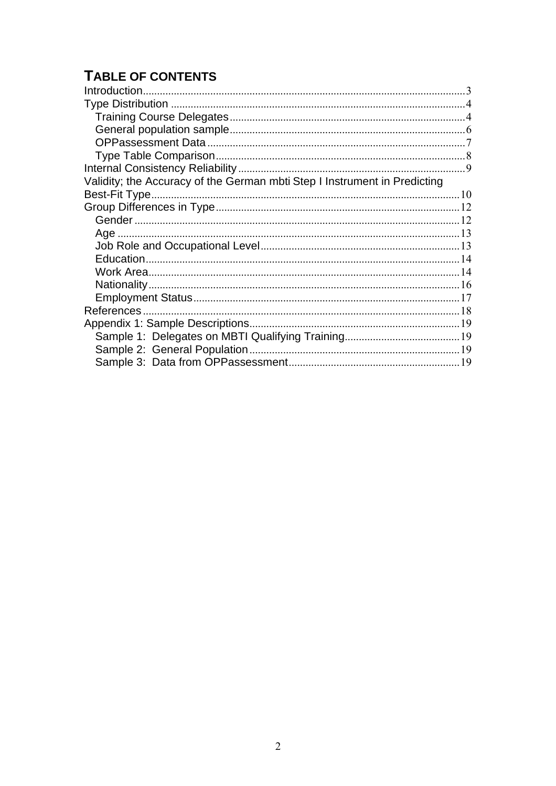# **TABLE OF CONTENTS**

| Validity; the Accuracy of the German mbti Step I Instrument in Predicting |  |
|---------------------------------------------------------------------------|--|
|                                                                           |  |
|                                                                           |  |
|                                                                           |  |
|                                                                           |  |
|                                                                           |  |
|                                                                           |  |
|                                                                           |  |
|                                                                           |  |
|                                                                           |  |
|                                                                           |  |
|                                                                           |  |
|                                                                           |  |
|                                                                           |  |
|                                                                           |  |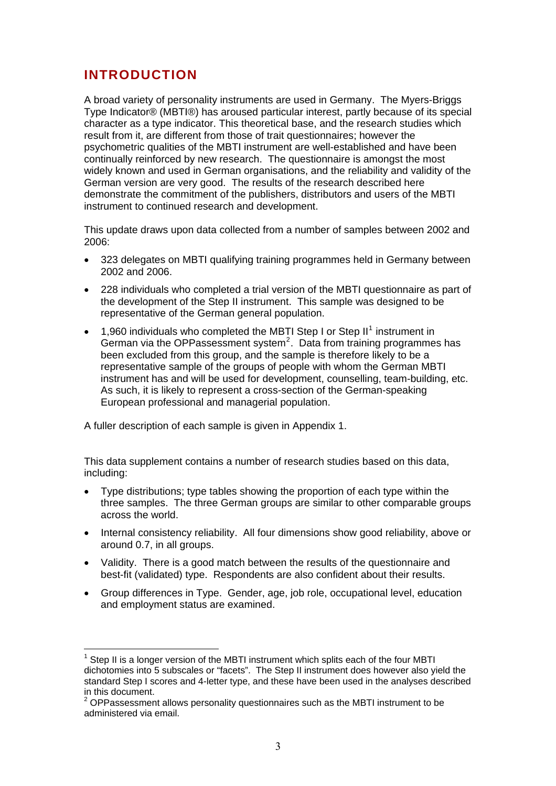## <span id="page-2-0"></span>**INTRODUCTION**

 $\overline{a}$ 

A broad variety of personality instruments are used in Germany. The Myers-Briggs Type Indicator® (MBTI®) has aroused particular interest, partly because of its special character as a type indicator. This theoretical base, and the research studies which result from it, are different from those of trait questionnaires; however the psychometric qualities of the MBTI instrument are well-established and have been continually reinforced by new research. The questionnaire is amongst the most widely known and used in German organisations, and the reliability and validity of the German version are very good. The results of the research described here demonstrate the commitment of the publishers, distributors and users of the MBTI instrument to continued research and development.

This update draws upon data collected from a number of samples between 2002 and 2006:

- 323 delegates on MBTI qualifying training programmes held in Germany between 2002 and 2006.
- 228 individuals who completed a trial version of the MBTI questionnaire as part of the development of the Step II instrument. This sample was designed to be representative of the German general population.
- $\bullet$  [1](#page-2-1),960 individuals who completed the MBTI Step I or Step II<sup>1</sup> instrument in German via the OPPassessment system<sup>[2](#page-2-2)</sup>. Data from training programmes has been excluded from this group, and the sample is therefore likely to be a representative sample of the groups of people with whom the German MBTI instrument has and will be used for development, counselling, team-building, etc. As such, it is likely to represent a cross-section of the German-speaking European professional and managerial population.

A fuller description of each sample is given in Appendix 1.

This data supplement contains a number of research studies based on this data, including:

- Type distributions; type tables showing the proportion of each type within the three samples. The three German groups are similar to other comparable groups across the world.
- Internal consistency reliability. All four dimensions show good reliability, above or around 0.7, in all groups.
- Validity. There is a good match between the results of the questionnaire and best-fit (validated) type. Respondents are also confident about their results.
- Group differences in Type. Gender, age, job role, occupational level, education and employment status are examined.

<span id="page-2-1"></span> $1$  Step II is a longer version of the MBTI instrument which splits each of the four MBTI dichotomies into 5 subscales or "facets". The Step II instrument does however also vield the standard Step I scores and 4-letter type, and these have been used in the analyses described in this document.

<span id="page-2-2"></span> $2$  OPPassessment allows personality questionnaires such as the MBTI instrument to be administered via email.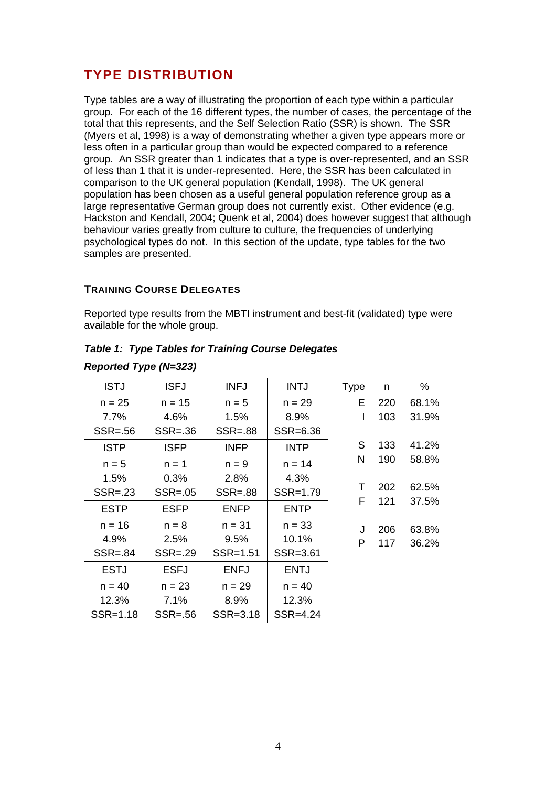# <span id="page-3-0"></span>**TYPE DISTRIBUTION**

Type tables are a way of illustrating the proportion of each type within a particular group. For each of the 16 different types, the number of cases, the percentage of the total that this represents, and the Self Selection Ratio (SSR) is shown. The SSR (Myers et al, 1998) is a way of demonstrating whether a given type appears more or less often in a particular group than would be expected compared to a reference group. An SSR greater than 1 indicates that a type is over-represented, and an SSR of less than 1 that it is under-represented. Here, the SSR has been calculated in comparison to the UK general population (Kendall, 1998). The UK general population has been chosen as a useful general population reference group as a large representative German group does not currently exist. Other evidence (e.g. Hackston and Kendall, 2004; Quenk et al, 2004) does however suggest that although behaviour varies greatly from culture to culture, the frequencies of underlying psychological types do not. In this section of the update, type tables for the two samples are presented.

#### **TRAINING COURSE DELEGATES**

*Reported Type (N=323)* 

Reported type results from the MBTI instrument and best-fit (validated) type were available for the whole group.

| <b>ISTJ</b> | <b>ISFJ</b> | <b>INFJ</b> | <b>INTJ</b> | <b>Type</b> | n   | %     |
|-------------|-------------|-------------|-------------|-------------|-----|-------|
| $n = 25$    | $n = 15$    | $n = 5$     | $n = 29$    | Е           | 220 | 68.1% |
| 7.7%        | 4.6%        | 1.5%        | 8.9%        | I           | 103 | 31.9% |
| $SSR = .56$ | $SSR = .36$ | $SSR = .88$ | SSR=6.36    |             |     |       |
| <b>ISTP</b> | <b>ISFP</b> | <b>INFP</b> | <b>INTP</b> | S           | 133 | 41.2% |
| $n = 5$     | $n = 1$     | $n = 9$     | $n = 14$    | N           | 190 | 58.8% |
| 1.5%        | 0.3%        | 2.8%        | 4.3%        |             |     |       |
| $SSR = .23$ | $SSR = .05$ | $SSR = .88$ | SSR=1.79    | Τ           | 202 | 62.5% |
| <b>ESTP</b> | <b>ESFP</b> | <b>ENFP</b> | <b>ENTP</b> | F           | 121 | 37.5% |
| $n = 16$    | $n = 8$     | $n = 31$    | $n = 33$    | J           | 206 | 63.8% |
| 4.9%        | 2.5%        | 9.5%        | 10.1%       | P           | 117 | 36.2% |
| $SSR = .84$ | $SSR = .29$ | SSR=1.51    | SSR=3.61    |             |     |       |
| <b>ESTJ</b> | <b>ESFJ</b> | <b>ENFJ</b> | <b>ENTJ</b> |             |     |       |
| $n = 40$    | $n = 23$    | $n = 29$    | $n = 40$    |             |     |       |
| 12.3%       | 7.1%        | 8.9%        | 12.3%       |             |     |       |
| SSR=1.18    | $SSR = .56$ | SSR=3.18    | SSR=4.24    |             |     |       |

#### *Table 1: Type Tables for Training Course Delegates*

4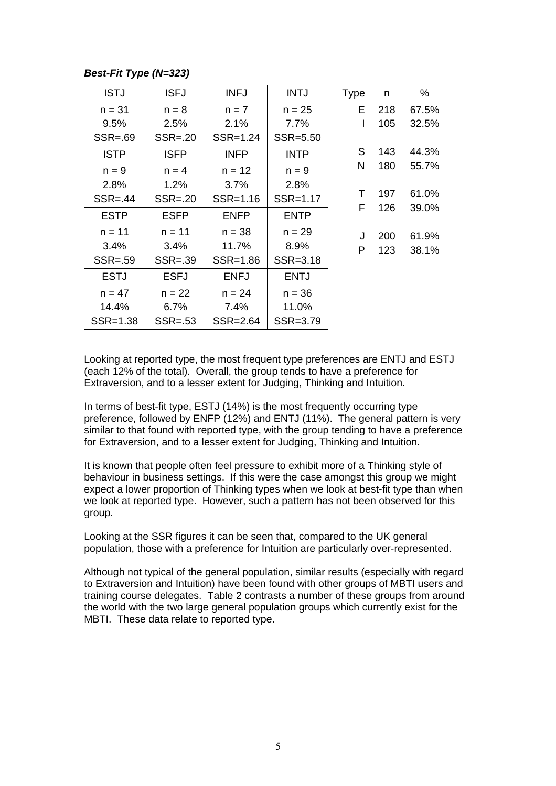#### *Best-Fit Type (N=323)*

| <b>ISTJ</b> | <b>ISFJ</b> | <b>INFJ</b> | <b>INTJ</b> | <b>Type</b> | n   | %     |
|-------------|-------------|-------------|-------------|-------------|-----|-------|
| $n = 31$    | $n = 8$     | $n = 7$     | $n = 25$    | Е           | 218 | 67.5% |
| 9.5%        | 2.5%        | 2.1%        | 7.7%        | I           | 105 | 32.5% |
| $SSR = .69$ | $SSR = .20$ | SSR=1.24    | SSR=5.50    |             |     |       |
| <b>ISTP</b> | <b>ISFP</b> | <b>INFP</b> | <b>INTP</b> | S           | 143 | 44.3% |
| $n = 9$     | $n = 4$     | $n = 12$    | $n = 9$     | N           | 180 | 55.7% |
| 2.8%        | 1.2%        | 3.7%        | 2.8%        |             |     |       |
| $SSR = .44$ | $SSR = .20$ | SSR=1.16    | SSR=1.17    | Τ           | 197 | 61.0% |
| <b>ESTP</b> | <b>ESFP</b> | <b>ENFP</b> | <b>ENTP</b> | F           | 126 | 39.0% |
| $n = 11$    | $n = 11$    | $n = 38$    | $n = 29$    | J           | 200 | 61.9% |
| 3.4%        | 3.4%        | 11.7%       | 8.9%        | P           | 123 | 38.1% |
| $SSR = .59$ | $SSR = .39$ | SSR=1.86    | SSR=3.18    |             |     |       |
| <b>ESTJ</b> | <b>ESFJ</b> | <b>ENFJ</b> | <b>ENTJ</b> |             |     |       |
| $n = 47$    | $n = 22$    | $n = 24$    | $n = 36$    |             |     |       |
| 14.4%       | 6.7%        | 7.4%        | 11.0%       |             |     |       |
| SSR=1.38    | $SSR = .53$ | SSR=2.64    | SSR=3.79    |             |     |       |

Looking at reported type, the most frequent type preferences are ENTJ and ESTJ (each 12% of the total). Overall, the group tends to have a preference for Extraversion, and to a lesser extent for Judging, Thinking and Intuition.

In terms of best-fit type, ESTJ (14%) is the most frequently occurring type preference, followed by ENFP (12%) and ENTJ (11%). The general pattern is very similar to that found with reported type, with the group tending to have a preference for Extraversion, and to a lesser extent for Judging, Thinking and Intuition.

It is known that people often feel pressure to exhibit more of a Thinking style of behaviour in business settings. If this were the case amongst this group we might expect a lower proportion of Thinking types when we look at best-fit type than when we look at reported type. However, such a pattern has not been observed for this group.

Looking at the SSR figures it can be seen that, compared to the UK general population, those with a preference for Intuition are particularly over-represented.

Although not typical of the general population, similar results (especially with regard to Extraversion and Intuition) have been found with other groups of MBTI users and training course delegates. Table 2 contrasts a number of these groups from around the world with the two large general population groups which currently exist for the MBTI. These data relate to reported type.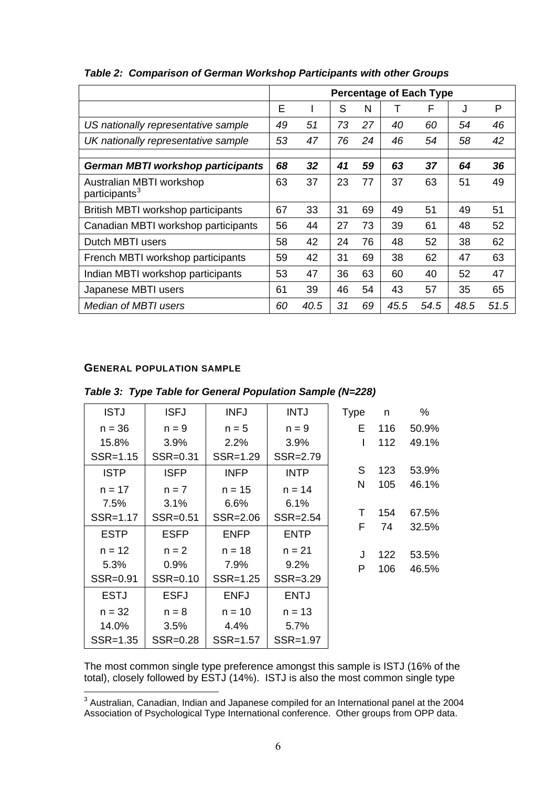|                                                       |    | <b>Percentage of Each Type</b> |    |    |      |      |      |      |
|-------------------------------------------------------|----|--------------------------------|----|----|------|------|------|------|
|                                                       | Е  |                                | S  | N  | Т    | F    | J    | P    |
| US nationally representative sample                   | 49 | 51                             | 73 | 27 | 40   | 60   | 54   | 46   |
| UK nationally representative sample                   | 53 | 47                             | 76 | 24 | 46   | 54   | 58   | 42   |
|                                                       |    |                                |    |    |      |      |      |      |
| <b>German MBTI workshop participants</b>              | 68 | 32                             | 41 | 59 | 63   | 37   | 64   | 36   |
| Australian MBTI workshop<br>participants <sup>3</sup> | 63 | 37                             | 23 | 77 | 37   | 63   | 51   | 49   |
| British MBTI workshop participants                    | 67 | 33                             | 31 | 69 | 49   | 51   | 49   | 51   |
| Canadian MBTI workshop participants                   | 56 | 44                             | 27 | 73 | 39   | 61   | 48   | 52   |
| Dutch MBTI users                                      | 58 | 42                             | 24 | 76 | 48   | 52   | 38   | 62   |
| French MBTI workshop participants                     | 59 | 42                             | 31 | 69 | 38   | 62   | 47   | 63   |
| Indian MBTI workshop participants                     | 53 | 47                             | 36 | 63 | 60   | 40   | 52   | 47   |
| Japanese MBTI users                                   | 61 | 39                             | 46 | 54 | 43   | 57   | 35   | 65   |
| Median of MBTI users                                  | 60 | 40.5                           | 31 | 69 | 45.5 | 54.5 | 48.5 | 51.5 |

#### <span id="page-5-0"></span>*Table 2: Comparison of German Workshop Participants with other Groups*

#### **GENERAL POPULATION SAMPLE**

|  | Table 3: Type Table for General Population Sample (N=228) |  |
|--|-----------------------------------------------------------|--|
|  |                                                           |  |

| <b>ISTJ</b>  | <b>ISFJ</b> | <b>INFJ</b> | <b>INTJ</b> | <b>Type</b> | n   | %     |
|--------------|-------------|-------------|-------------|-------------|-----|-------|
| $n = 36$     | $n = 9$     | $n = 5$     | $n = 9$     | E.          | 116 | 50.9% |
| 15.8%        | 3.9%        | 2.2%        | 3.9%        | I           | 112 | 49.1% |
| $SSR = 1.15$ | SSR=0.31    | SSR=1.29    | SSR=2.79    |             |     |       |
| <b>ISTP</b>  | <b>ISFP</b> | <b>INFP</b> | <b>INTP</b> | S           | 123 | 53.9% |
| $n = 17$     | $n = 7$     | $n = 15$    | $n = 14$    | N           | 105 | 46.1% |
| 7.5%         | 3.1%        | 6.6%        | 6.1%        |             |     |       |
| SSR=1.17     | SSR=0.51    | SSR=2.06    | SSR=2.54    | Τ           | 154 | 67.5% |
| <b>ESTP</b>  | <b>ESFP</b> | <b>ENFP</b> | <b>ENTP</b> | F           | 74  | 32.5% |
| $n = 12$     | $n = 2$     | $n = 18$    | $n = 21$    | J           | 122 | 53.5% |
| 5.3%         | 0.9%        | 7.9%        | 9.2%        | P           | 106 | 46.5% |
| SSR=0.91     | SSR=0.10    | SSR=1.25    | SSR=3.29    |             |     |       |
| <b>ESTJ</b>  | <b>ESFJ</b> | <b>ENFJ</b> | <b>ENTJ</b> |             |     |       |
| $n = 32$     | $n = 8$     | $n = 10$    | $n = 13$    |             |     |       |
| 14.0%        | 3.5%        | 4.4%        | 5.7%        |             |     |       |
| SSR=1.35     | SSR=0.28    | SSR=1.57    | SSR=1.97    |             |     |       |

The most common single type preference amongst this sample is ISTJ (16% of the total), closely followed by ESTJ (14%). ISTJ is also the most common single type

<span id="page-5-1"></span> 3 Australian, Canadian, Indian and Japanese compiled for an International panel at the 2004 Association of Psychological Type International conference. Other groups from OPP data.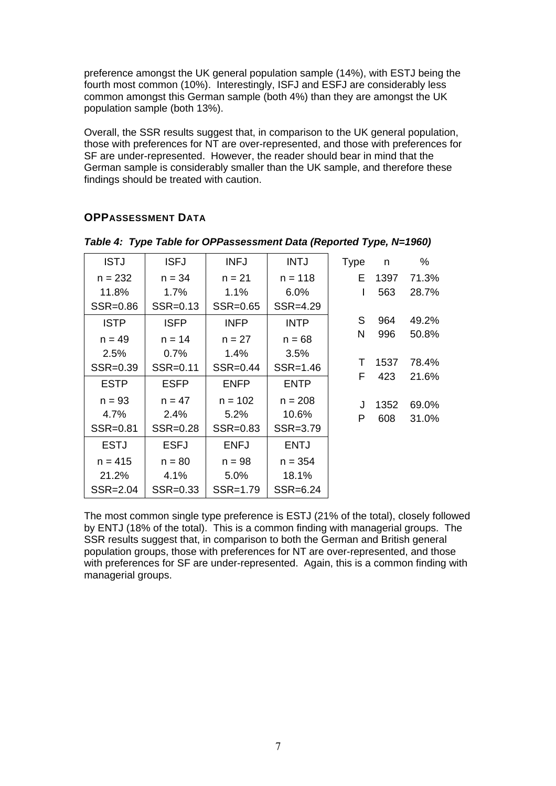<span id="page-6-0"></span>preference amongst the UK general population sample (14%), with ESTJ being the fourth most common (10%). Interestingly, ISFJ and ESFJ are considerably less common amongst this German sample (both 4%) than they are amongst the UK population sample (both 13%).

Overall, the SSR results suggest that, in comparison to the UK general population, those with preferences for NT are over-represented, and those with preferences for SF are under-represented. However, the reader should bear in mind that the German sample is considerably smaller than the UK sample, and therefore these findings should be treated with caution.

| <b>ISTJ</b> | <b>ISFJ</b> | <b>INFJ</b> | <b>INTJ</b> | <b>Type</b> | n    | %     |
|-------------|-------------|-------------|-------------|-------------|------|-------|
| $n = 232$   | $n = 34$    | $n = 21$    | $n = 118$   | E.          | 1397 | 71.3% |
| 11.8%       | 1.7%        | 1.1%        | $6.0\%$     | I           | 563  | 28.7% |
| SSR=0.86    | SSR=0.13    | SSR=0.65    | SSR=4.29    |             |      |       |
| <b>ISTP</b> | <b>ISFP</b> | <b>INFP</b> | <b>INTP</b> | S           | 964  | 49.2% |
| $n = 49$    | $n = 14$    | $n = 27$    | $n = 68$    | N           | 996  | 50.8% |
| 2.5%        | $0.7\%$     | 1.4%        | 3.5%        |             |      |       |
| SSR=0.39    | SSR=0.11    | SSR=0.44    | SSR=1.46    | Τ           | 1537 | 78.4% |
| <b>ESTP</b> | <b>ESFP</b> | <b>ENFP</b> | <b>ENTP</b> | F           | 423  | 21.6% |
| $n = 93$    | $n = 47$    | $n = 102$   | $n = 208$   | J           | 1352 | 69.0% |
| 4.7%        | 2.4%        | $5.2\%$     | 10.6%       | P           | 608  | 31.0% |
| SSR=0.81    | SSR=0.28    | SSR=0.83    | SSR=3.79    |             |      |       |
| <b>ESTJ</b> | <b>ESFJ</b> | <b>ENFJ</b> | <b>ENTJ</b> |             |      |       |
| $n = 415$   | $n = 80$    | $n = 98$    | $n = 354$   |             |      |       |
| 21.2%       | 4.1%        | 5.0%        | 18.1%       |             |      |       |
| SSR=2.04    | SSR=0.33    | SSR=1.79    | SSR=6.24    |             |      |       |

#### **OPPASSESSMENT DATA**

*Table 4: Type Table for OPPassessment Data (Reported Type, N=1960)* 

The most common single type preference is ESTJ (21% of the total), closely followed by ENTJ (18% of the total). This is a common finding with managerial groups. The SSR results suggest that, in comparison to both the German and British general population groups, those with preferences for NT are over-represented, and those with preferences for SF are under-represented. Again, this is a common finding with managerial groups.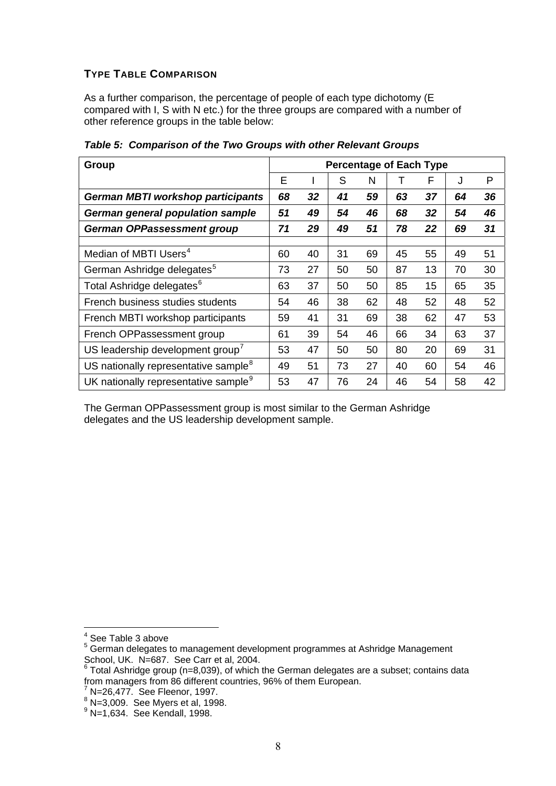#### <span id="page-7-0"></span>**TYPE TABLE COMPARISON**

As a further comparison, the percentage of people of each type dichotomy (E compared with I, S with N etc.) for the three groups are compared with a number of other reference groups in the table below:

| Group                                            |    |    | <b>Percentage of Each Type</b> |    |    |    |    |    |
|--------------------------------------------------|----|----|--------------------------------|----|----|----|----|----|
|                                                  | E  |    | S                              | N  | т  | F  | J  | P  |
| <b>German MBTI workshop participants</b>         | 68 | 32 | 41                             | 59 | 63 | 37 | 64 | 36 |
| German general population sample                 | 51 | 49 | 54                             | 46 | 68 | 32 | 54 | 46 |
| German OPPassessment group                       | 71 | 29 | 49                             | 51 | 78 | 22 | 69 | 31 |
|                                                  |    |    |                                |    |    |    |    |    |
| Median of MBTI Users <sup>4</sup>                | 60 | 40 | 31                             | 69 | 45 | 55 | 49 | 51 |
| German Ashridge delegates <sup>5</sup>           | 73 | 27 | 50                             | 50 | 87 | 13 | 70 | 30 |
| Total Ashridge delegates <sup>6</sup>            | 63 | 37 | 50                             | 50 | 85 | 15 | 65 | 35 |
| French business studies students                 | 54 | 46 | 38                             | 62 | 48 | 52 | 48 | 52 |
| French MBTI workshop participants                | 59 | 41 | 31                             | 69 | 38 | 62 | 47 | 53 |
| French OPPassessment group                       | 61 | 39 | 54                             | 46 | 66 | 34 | 63 | 37 |
| US leadership development group <sup>7</sup>     | 53 | 47 | 50                             | 50 | 80 | 20 | 69 | 31 |
| US nationally representative sample <sup>8</sup> | 49 | 51 | 73                             | 27 | 40 | 60 | 54 | 46 |
| UK nationally representative sample <sup>9</sup> | 53 | 47 | 76                             | 24 | 46 | 54 | 58 | 42 |

*Table 5: Comparison of the Two Groups with other Relevant Groups* 

The German OPPassessment group is most similar to the German Ashridge delegates and the US leadership development sample.

 $\overline{a}$ 

<span id="page-7-4"></span><sup>7</sup> N=26,477. See Fleenor, 1997.<br><sup>8</sup> N=3,009. See Myers et al, 1998.

<sup>4</sup> See Table 3 above

<span id="page-7-2"></span><span id="page-7-1"></span> $5$  German delegates to management development programmes at Ashridge Management

<span id="page-7-3"></span>School, UK. N=687. See Carr et al, 2004.<br><sup>6</sup> Total Ashridge group (n=8,039), of which the German delegates are a subset; contains data from managers from 86 different countries, 96% of them European.

<span id="page-7-5"></span>

<span id="page-7-6"></span> $9$  N=1,634. See Kendall, 1998.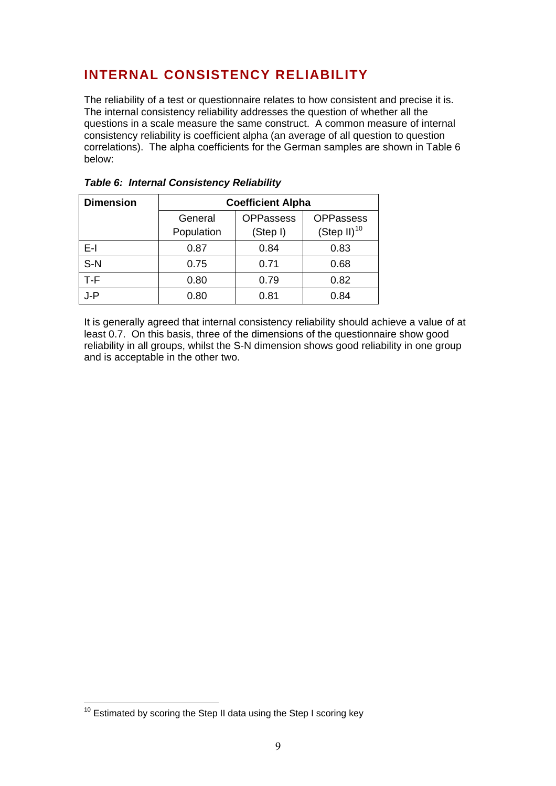# <span id="page-8-0"></span>**INTERNAL CONSISTENCY RELIABILITY**

The reliability of a test or questionnaire relates to how consistent and precise it is. The internal consistency reliability addresses the question of whether all the questions in a scale measure the same construct. A common measure of internal consistency reliability is coefficient alpha (an average of all question to question correlations). The alpha coefficients for the German samples are shown in Table 6 below:

| <b>Dimension</b> | <b>Coefficient Alpha</b> |                  |                  |  |  |  |  |
|------------------|--------------------------|------------------|------------------|--|--|--|--|
|                  | General                  | <b>OPPassess</b> | <b>OPPassess</b> |  |  |  |  |
|                  | Population               | (Step I)         | $(Step II)^{10}$ |  |  |  |  |
| F-I.             | 0.87                     | 0.84             | 0.83             |  |  |  |  |
| $S-N$            | 0.75                     | 0.71             | 0.68             |  |  |  |  |
| T-F              | 0.80                     | 0.79             | 0.82             |  |  |  |  |
| J-P              | 0.80                     | 0.81             | 0.84             |  |  |  |  |

|  |  | Table 6: Internal Consistency Reliability |  |
|--|--|-------------------------------------------|--|
|--|--|-------------------------------------------|--|

It is generally agreed that internal consistency reliability should achieve a value of at least 0.7. On this basis, three of the dimensions of the questionnaire show good reliability in all groups, whilst the S-N dimension shows good reliability in one group and is acceptable in the other two.

 $\overline{a}$ 

<span id="page-8-1"></span> $10$  Estimated by scoring the Step II data using the Step I scoring key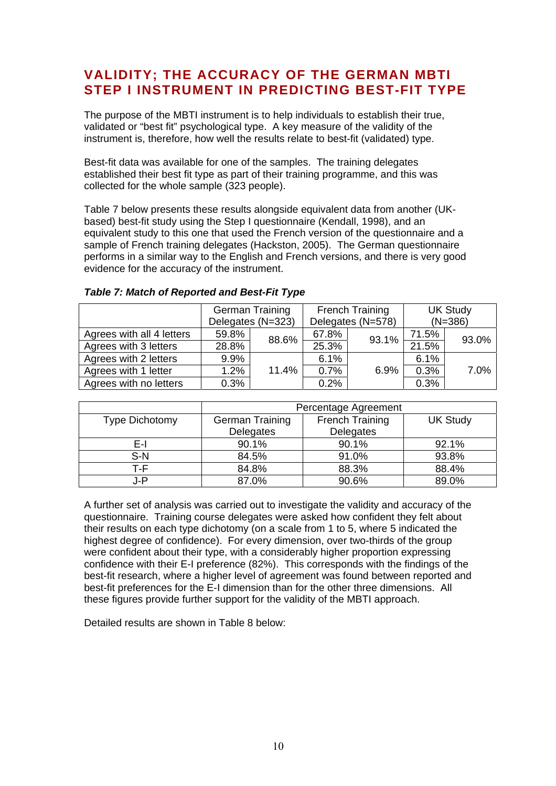## <span id="page-9-0"></span>**VALIDITY; THE ACCURACY OF THE GERMAN MBTI STEP I INSTRUMENT IN PREDICTING BEST-FIT TYPE**

The purpose of the MBTI instrument is to help individuals to establish their true, validated or "best fit" psychological type. A key measure of the validity of the instrument is, therefore, how well the results relate to best-fit (validated) type.

Best-fit data was available for one of the samples. The training delegates established their best fit type as part of their training programme, and this was collected for the whole sample (323 people).

Table 7 below presents these results alongside equivalent data from another (UKbased) best-fit study using the Step I questionnaire (Kendall, 1998), and an equivalent study to this one that used the French version of the questionnaire and a sample of French training delegates (Hackston, 2005). The German questionnaire performs in a similar way to the English and French versions, and there is very good evidence for the accuracy of the instrument.

|                           | <b>German Training</b><br>Delegates (N=323) |       |       | <b>French Training</b><br>Delegates (N=578) | <b>UK Study</b><br>$(N=386)$ |       |  |
|---------------------------|---------------------------------------------|-------|-------|---------------------------------------------|------------------------------|-------|--|
|                           |                                             |       |       |                                             |                              |       |  |
| Agrees with all 4 letters | 59.8%                                       | 88.6% | 67.8% | 93.1%                                       | 71.5%                        | 93.0% |  |
| Agrees with 3 letters     | 28.8%                                       |       |       |                                             | $21.\overline{5\%}$          |       |  |
| Agrees with 2 letters     | 9.9%                                        |       | 6.1%  |                                             | 6.1%                         |       |  |
| Agrees with 1 letter      | 1.2%                                        | 11.4% | 0.7%  | 6.9%                                        | 0.3%                         | 7.0%  |  |
| Agrees with no letters    | 0.3%                                        |       | 0.2%  |                                             | 0.3%                         |       |  |

#### *Table 7: Match of Reported and Best-Fit Type*

|                       | Percentage Agreement |                        |                 |
|-----------------------|----------------------|------------------------|-----------------|
| <b>Type Dichotomy</b> | German Training      | <b>French Training</b> | <b>UK Study</b> |
|                       | Delegates            | Delegates              |                 |
| E-l                   | 90.1%                | 90.1%                  | 92.1%           |
| $S-N$                 | 84.5%                | 91.0%                  | 93.8%           |
| T-F                   | 84.8%                | 88.3%                  | 88.4%           |
| J-P                   | 87.0%                | 90.6%                  | 89.0%           |

A further set of analysis was carried out to investigate the validity and accuracy of the questionnaire. Training course delegates were asked how confident they felt about their results on each type dichotomy (on a scale from 1 to 5, where 5 indicated the highest degree of confidence). For every dimension, over two-thirds of the group were confident about their type, with a considerably higher proportion expressing confidence with their E-I preference (82%). This corresponds with the findings of the best-fit research, where a higher level of agreement was found between reported and best-fit preferences for the E-I dimension than for the other three dimensions. All these figures provide further support for the validity of the MBTI approach.

Detailed results are shown in Table 8 below: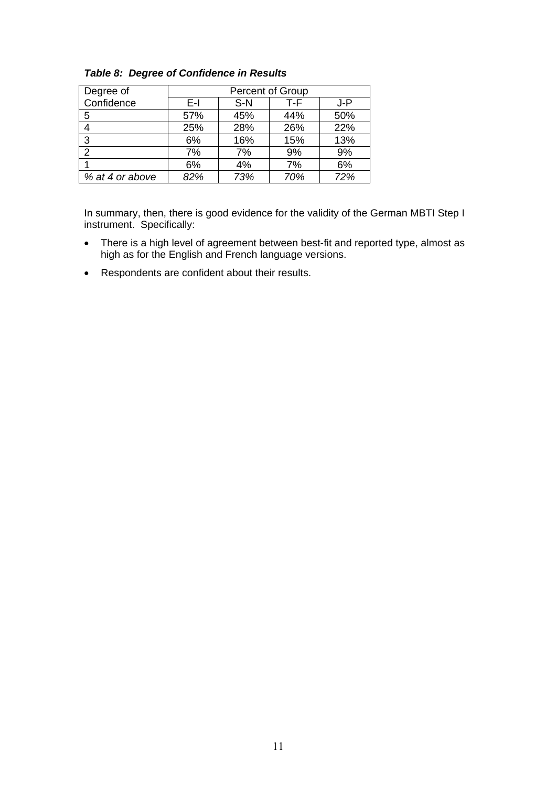| Degree of       |     |       | Percent of Group |     |
|-----------------|-----|-------|------------------|-----|
| Confidence      | E-L | $S-N$ | T-F              | J-P |
| 5               | 57% | 45%   | 44%              | 50% |
| 4               | 25% | 28%   | 26%              | 22% |
| 3               | 6%  | 16%   | 15%              | 13% |
| 2               | 7%  | 7%    | 9%               | 9%  |
|                 | 6%  | 4%    | 7%               | 6%  |
| % at 4 or above | 82% | 73%   | 70%              | 72% |

*Table 8: Degree of Confidence in Results* 

In summary, then, there is good evidence for the validity of the German MBTI Step I instrument. Specifically:

- There is a high level of agreement between best-fit and reported type, almost as high as for the English and French language versions.
- Respondents are confident about their results.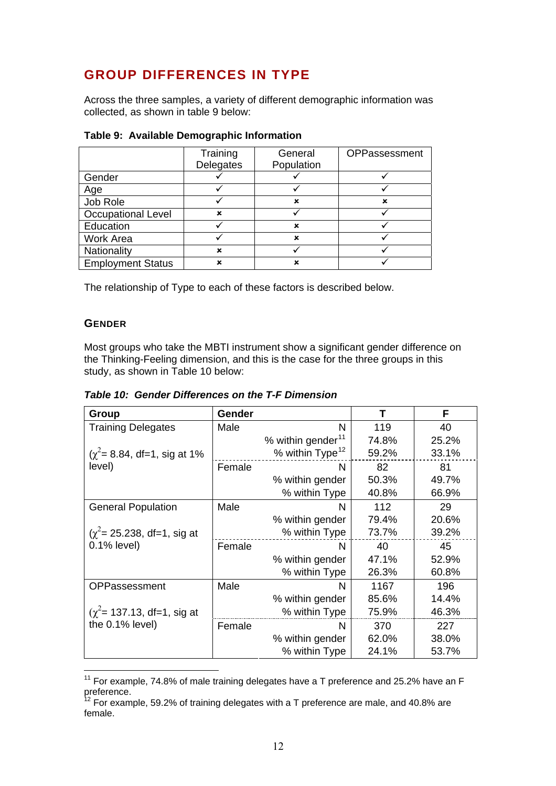# <span id="page-11-0"></span>**GROUP DIFFERENCES IN TYPE**

Across the three samples, a variety of different demographic information was collected, as shown in table 9 below:

|                           | Training<br>Delegates | General<br>Population | OPPassessment |
|---------------------------|-----------------------|-----------------------|---------------|
| Gender                    |                       |                       |               |
| Age                       |                       |                       |               |
| Job Role                  |                       | ×                     | ×             |
| <b>Occupational Level</b> | ×                     |                       |               |
| Education                 |                       | ×                     |               |
| <b>Work Area</b>          |                       | ×                     |               |
| Nationality               | ×                     |                       |               |
| <b>Employment Status</b>  | x                     | ×                     |               |

#### **Table 9: Available Demographic Information**

The relationship of Type to each of these factors is described below.

#### **GENDER**

 $\overline{a}$ 

Most groups who take the MBTI instrument show a significant gender difference on the Thinking-Feeling dimension, and this is the case for the three groups in this study, as shown in Table 10 below:

| Table 10: Gender Differences on the T-F Dimension |  |
|---------------------------------------------------|--|
|---------------------------------------------------|--|

| Group                                | Gender |                               | т     | F     |
|--------------------------------------|--------|-------------------------------|-------|-------|
| <b>Training Delegates</b>            | Male   | N                             | 119   | 40    |
|                                      |        | % within gender <sup>11</sup> | 74.8% | 25.2% |
| $(\chi^2 = 8.84, df = 1, sig at 1\%$ |        | % within Type <sup>12</sup>   | 59.2% | 33.1% |
| level)                               | Female | N                             | 82    | 81    |
|                                      |        | % within gender               | 50.3% | 49.7% |
|                                      |        | % within Type                 | 40.8% | 66.9% |
| <b>General Population</b>            | Male   | N.                            | 112   | 29    |
|                                      |        | % within gender               | 79.4% | 20.6% |
| $(\chi^2 = 25.238, df = 1, sig$ at   |        | % within Type                 | 73.7% | 39.2% |
| $0.1\%$ level)                       | Female | N.                            | 40    | 45    |
|                                      |        | % within gender               | 47.1% | 52.9% |
|                                      |        | % within Type                 | 26.3% | 60.8% |
| OPPassessment                        | Male   | N                             | 1167  | 196   |
|                                      |        | % within gender               | 85.6% | 14.4% |
| $(\chi^2$ = 137.13, df = 1, sig at   |        | % within Type                 | 75.9% | 46.3% |
| the 0.1% level)                      | Female | N                             | 370   | 227   |
|                                      |        | % within gender               | 62.0% | 38.0% |
|                                      |        | % within Type                 | 24.1% | 53.7% |

<span id="page-11-1"></span><sup>&</sup>lt;sup>11</sup> For example, 74.8% of male training delegates have a T preference and 25.2% have an F preference.

<span id="page-11-2"></span> $12$  For example, 59.2% of training delegates with a T preference are male, and 40.8% are female.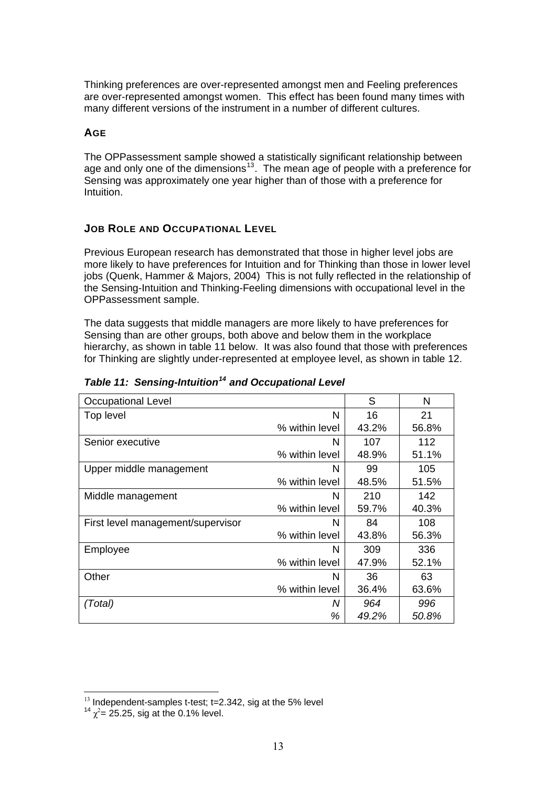<span id="page-12-0"></span>Thinking preferences are over-represented amongst men and Feeling preferences are over-represented amongst women. This effect has been found many times with many different versions of the instrument in a number of different cultures.

#### **AGE**

The OPPassessment sample showed a statistically significant relationship between age and only one of the dimensions<sup>[13](#page-12-1)</sup>. The mean age of people with a preference for Sensing was approximately one year higher than of those with a preference for Intuition.

#### **JOB ROLE AND OCCUPATIONAL LEVEL**

Previous European research has demonstrated that those in higher level jobs are more likely to have preferences for Intuition and for Thinking than those in lower level jobs (Quenk, Hammer & Majors, 2004) This is not fully reflected in the relationship of the Sensing-Intuition and Thinking-Feeling dimensions with occupational level in the OPPassessment sample.

The data suggests that middle managers are more likely to have preferences for Sensing than are other groups, both above and below them in the workplace hierarchy, as shown in table 11 below. It was also found that those with preferences for Thinking are slightly under-represented at employee level, as shown in table 12.

| <b>Occupational Level</b>         |                | S     | N     |
|-----------------------------------|----------------|-------|-------|
| Top level                         | N              | 16    | 21    |
|                                   | % within level | 43.2% | 56.8% |
| Senior executive                  | N              | 107   | 112   |
|                                   | % within level | 48.9% | 51.1% |
| Upper middle management           | N              | 99    | 105   |
|                                   | % within level | 48.5% | 51.5% |
| Middle management                 | N              | 210   | 142   |
|                                   | % within level | 59.7% | 40.3% |
| First level management/supervisor | N              | 84    | 108   |
|                                   | % within level | 43.8% | 56.3% |
| Employee                          | N              | 309   | 336   |
|                                   | % within level | 47.9% | 52.1% |
| Other                             | N              | 36    | 63    |
|                                   | % within level | 36.4% | 63.6% |
| (Total)                           | N              | 964   | 996   |
|                                   | %              | 49.2% | 50.8% |

#### *Table 11: Sensing-Intuition[14](#page-12-2) and Occupational Level*

 $\overline{a}$ 

<span id="page-12-2"></span><span id="page-12-1"></span><sup>&</sup>lt;sup>13</sup> Independent-samples t-test; t=2.342, sig at the 5% level  $14x^2 - 25.25$  eig at the 0.1% level

 $\chi^2$ = 25.25, sig at the 0.1% level.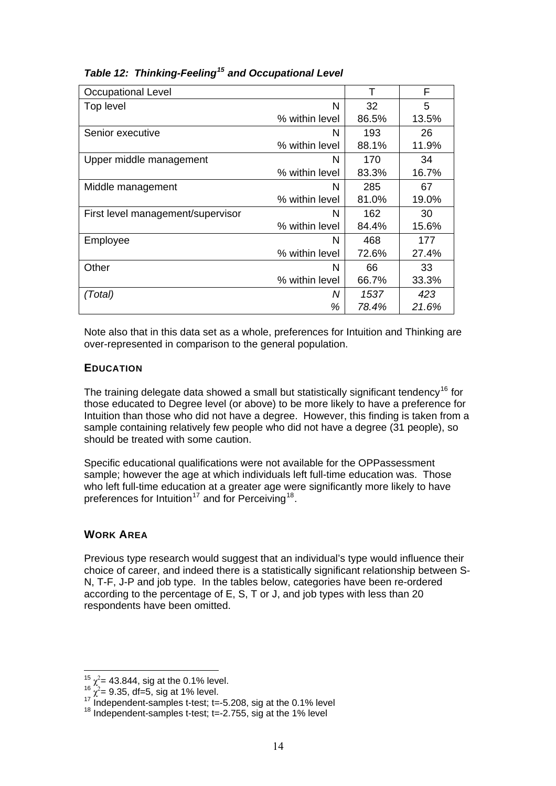| <b>Occupational Level</b>         |                | т     | F     |
|-----------------------------------|----------------|-------|-------|
| Top level                         | N              | 32    | 5     |
|                                   | % within level | 86.5% | 13.5% |
| Senior executive                  | N              | 193   | 26    |
|                                   | % within level | 88.1% | 11.9% |
| Upper middle management           | N              | 170   | 34    |
|                                   | % within level | 83.3% | 16.7% |
| Middle management                 | N              | 285   | 67    |
|                                   | % within level | 81.0% | 19.0% |
| First level management/supervisor | N              | 162   | 30    |
|                                   | % within level | 84.4% | 15.6% |
| Employee                          | N              | 468   | 177   |
|                                   | % within level | 72.6% | 27.4% |
| Other                             | N              | 66    | 33    |
|                                   | % within level | 66.7% | 33.3% |
| (Total)                           | Ν              | 1537  | 423   |
|                                   | %              | 78.4% | 21.6% |

#### <span id="page-13-0"></span>*Table 12: Thinking-Feeling[15](#page-13-1) and Occupational Level*

Note also that in this data set as a whole, preferences for Intuition and Thinking are over-represented in comparison to the general population.

#### **EDUCATION**

The training delegate data showed a small but statistically significant tendency<sup>[16](#page-13-2)</sup> for those educated to Degree level (or above) to be more likely to have a preference for Intuition than those who did not have a degree. However, this finding is taken from a sample containing relatively few people who did not have a degree (31 people), so should be treated with some caution.

Specific educational qualifications were not available for the OPPassessment sample; however the age at which individuals left full-time education was. Those who left full-time education at a greater age were significantly more likely to have preferences for Intuition<sup>[17](#page-13-3)</sup> and for Perceiving<sup>[18](#page-13-4)</sup>.

#### **WORK AREA**

Previous type research would suggest that an individual's type would influence their choice of career, and indeed there is a statistically significant relationship between S-N, T-F, J-P and job type. In the tables below, categories have been re-ordered according to the percentage of E, S, T or J, and job types with less than 20 respondents have been omitted.

<span id="page-13-1"></span>

<span id="page-13-2"></span>

<sup>&</sup>lt;sup>15</sup>  $\chi^2$  = 43.844, sig at the 0.1% level.<br><sup>16</sup>  $\chi^2$  = 9.35, df =5, sig at 1% level.<br><sup>17</sup> Independent-samples t-test; t=-5.208, sig at the 0.1% level<br><sup>18</sup> Independent-samples t-test; t=-2.755, sig at the 1% level

<span id="page-13-4"></span><span id="page-13-3"></span>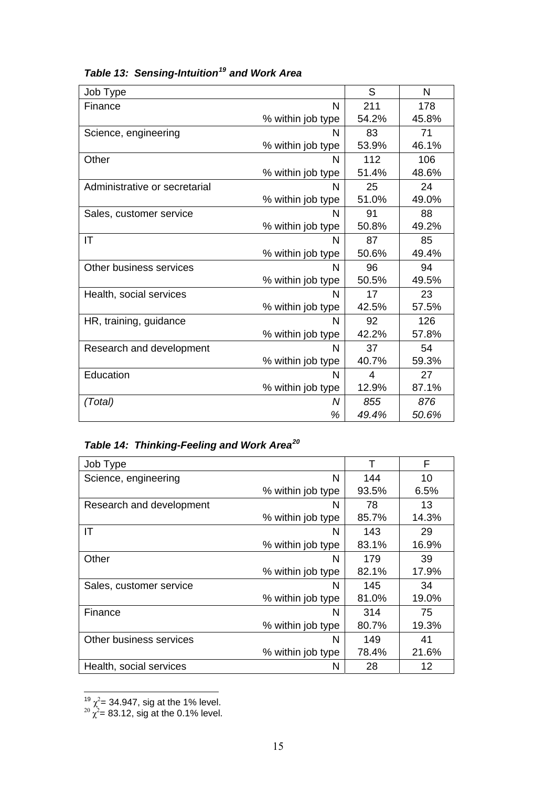| Job Type                      |                   | S              | N     |
|-------------------------------|-------------------|----------------|-------|
| Finance                       | N                 | 211            | 178   |
|                               | % within job type | 54.2%          | 45.8% |
| Science, engineering          | N                 | 83             | 71    |
|                               | % within job type | 53.9%          | 46.1% |
| Other                         | N                 | 112            | 106   |
|                               | % within job type | 51.4%          | 48.6% |
| Administrative or secretarial | N                 | 25             | 24    |
|                               | % within job type | 51.0%          | 49.0% |
| Sales, customer service       | N                 | 91             | 88    |
|                               | % within job type | 50.8%          | 49.2% |
| IT                            | N                 | 87             | 85    |
|                               | % within job type | 50.6%          | 49.4% |
| Other business services       | N                 | 96             | 94    |
|                               | % within job type | 50.5%          | 49.5% |
| Health, social services       | N                 | 17             | 23    |
|                               | % within job type | 42.5%          | 57.5% |
| HR, training, guidance        | N                 | 92             | 126   |
|                               | % within job type | 42.2%          | 57.8% |
| Research and development      | N                 | 37             | 54    |
|                               | % within job type | 40.7%          | 59.3% |
| Education                     | N                 | $\overline{4}$ | 27    |
|                               | % within job type | 12.9%          | 87.1% |
| (Total)                       | Ν                 | 855            | 876   |
|                               | %                 | 49.4%          | 50.6% |

# *Table 13: Sensing-Intuition[19](#page-14-0) and Work Area*

## *Table 14: Thinking-Feeling and Work Area[20](#page-14-1)*

| Job Type                 |                   |       | F     |
|--------------------------|-------------------|-------|-------|
| Science, engineering     | N                 | 144   | 10    |
|                          | % within job type | 93.5% | 6.5%  |
| Research and development | N                 | 78    | 13    |
|                          | % within job type | 85.7% | 14.3% |
| ΙT                       | N                 | 143   | 29    |
|                          | % within job type | 83.1% | 16.9% |
| Other                    | N                 | 179   | 39    |
|                          | % within job type | 82.1% | 17.9% |
| Sales, customer service  | N                 | 145   | 34    |
|                          | % within job type | 81.0% | 19.0% |
| Finance                  | N                 | 314   | 75    |
|                          | % within job type | 80.7% | 19.3% |
| Other business services  | N                 | 149   | 41    |
|                          | % within job type | 78.4% | 21.6% |
| Health, social services  | N                 | 28    | 12    |

<span id="page-14-1"></span><span id="page-14-0"></span>

 $\chi^2 = 34.947$ , sig at the 1% level.<br>
<sup>20</sup>  $\chi^2 = 83.12$ , sig at the 0.1% level.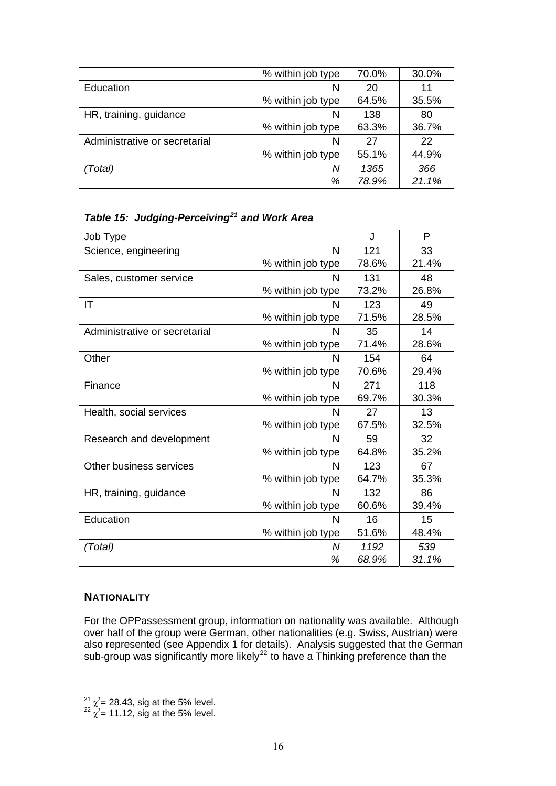<span id="page-15-0"></span>

|                               | % within job type | 70.0% | 30.0% |
|-------------------------------|-------------------|-------|-------|
| Education                     | N                 | 20    | 11    |
|                               | % within job type | 64.5% | 35.5% |
| HR, training, guidance        | N                 | 138   | 80    |
|                               | % within job type | 63.3% | 36.7% |
| Administrative or secretarial | N                 | 27    | 22    |
|                               | % within job type | 55.1% | 44.9% |
| (Total)                       | Ν                 | 1365  | 366   |
|                               | %                 | 78.9% | 21.1% |

*Table 15: Judging-Perceiving[21](#page-15-1) and Work Area* 

| Job Type                      |                   | J     | P     |
|-------------------------------|-------------------|-------|-------|
| Science, engineering          | N                 | 121   | 33    |
|                               | % within job type | 78.6% | 21.4% |
| Sales, customer service       | N                 | 131   | 48    |
|                               | % within job type | 73.2% | 26.8% |
| ΙT                            | N                 | 123   | 49    |
|                               | % within job type | 71.5% | 28.5% |
| Administrative or secretarial | N                 | 35    | 14    |
|                               | % within job type | 71.4% | 28.6% |
| Other                         | N                 | 154   | 64    |
|                               | % within job type | 70.6% | 29.4% |
| Finance                       | N                 | 271   | 118   |
|                               | % within job type | 69.7% | 30.3% |
| Health, social services       | N                 | 27    | 13    |
|                               | % within job type | 67.5% | 32.5% |
| Research and development      | N                 | 59    | 32    |
|                               | % within job type | 64.8% | 35.2% |
| Other business services       | N                 | 123   | 67    |
|                               | % within job type | 64.7% | 35.3% |
| HR, training, guidance        | N                 | 132   | 86    |
|                               | % within job type | 60.6% | 39.4% |
| Education                     | N                 | 16    | 15    |
|                               | % within job type | 51.6% | 48.4% |
| (Total)                       | N                 | 1192  | 539   |
|                               | %                 | 68.9% | 31.1% |

#### **NATIONALITY**

For the OPPassessment group, information on nationality was available. Although over half of the group were German, other nationalities (e.g. Swiss, Austrian) were also represented (see Appendix 1 for details). Analysis suggested that the German sub-group was significantly more likely<sup>[22](#page-15-2)</sup> to have a Thinking preference than the

<span id="page-15-1"></span> $\frac{21}{2^2} \chi^2 = 28.43$ , sig at the 5% level.<br><sup>22</sup> χ<sup>2</sup>= 11.12, sig at the 5% level.

<span id="page-15-2"></span>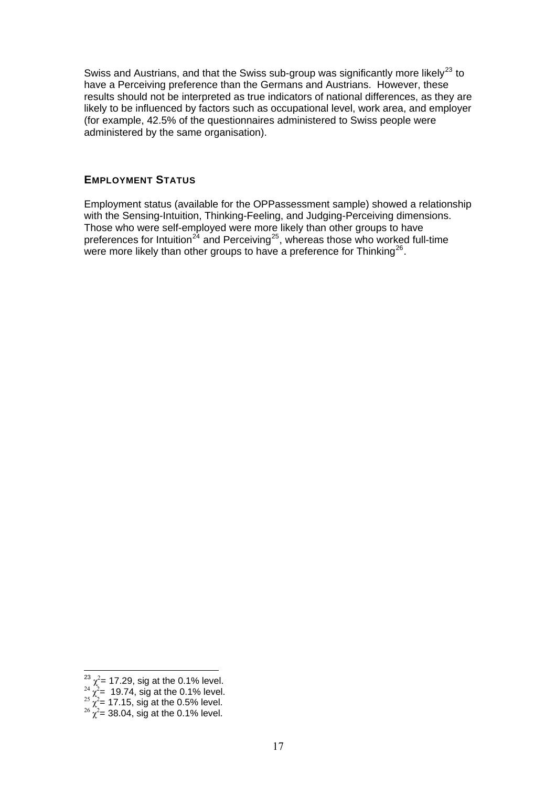<span id="page-16-0"></span>Swiss and Austrians, and that the Swiss sub-group was significantly more likely<sup>[23](#page-16-1)</sup> to have a Perceiving preference than the Germans and Austrians. However, these results should not be interpreted as true indicators of national differences, as they are likely to be influenced by factors such as occupational level, work area, and employer (for example, 42.5% of the questionnaires administered to Swiss people were administered by the same organisation).

#### **EMPLOYMENT STATUS**

Employment status (available for the OPPassessment sample) showed a relationship with the Sensing-Intuition, Thinking-Feeling, and Judging-Perceiving dimensions. Those who were self-employed were more likely than other groups to have preferences for Intuition<sup>[24](#page-16-2)</sup> and Perceiving<sup>[25](#page-16-3)</sup>, whereas those who worked full-time were more likely than other groups to have a preference for Thinking<sup>[26](#page-16-4)</sup>.

<span id="page-16-2"></span><span id="page-16-1"></span>

<sup>&</sup>lt;sup>23</sup>  $\chi^2$  = 17.29, sig at the 0.1% level.<br><sup>24</sup>  $\chi^2$  = 19.74, sig at the 0.1% level.<br><sup>25</sup>  $\chi^2$  = 17.15, sig at the 0.5% level.<br><sup>26</sup>  $\chi^2$  = 38.04, sig at the 0.1% level.

<span id="page-16-3"></span>

<span id="page-16-4"></span>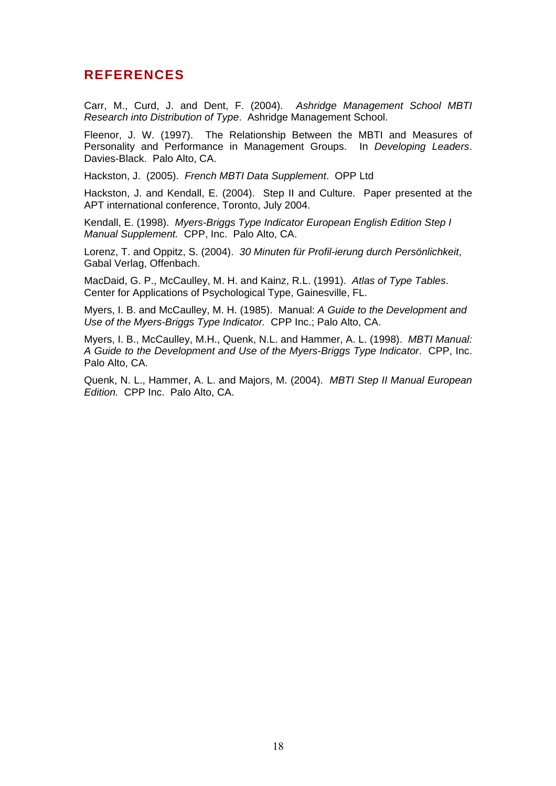### <span id="page-17-0"></span>**REFERENCES**

Carr, M., Curd, J. and Dent, F. (2004). *Ashridge Management School MBTI Research into Distribution of Type*. Ashridge Management School.

Fleenor, J. W. (1997). The Relationship Between the MBTI and Measures of Personality and Performance in Management Groups. In *Developing Leaders*. Davies-Black. Palo Alto, CA.

Hackston, J. (2005). *French MBTI Data Supplement*. OPP Ltd

Hackston, J. and Kendall, E. (2004). Step II and Culture. Paper presented at the APT international conference, Toronto, July 2004.

Kendall, E. (1998). *Myers-Briggs Type Indicator European English Edition Step I Manual Supplement.* CPP, Inc. Palo Alto, CA.

Lorenz, T. and Oppitz, S. (2004). *30 Minuten für Profil-ierung durch Persönlichkeit*, Gabal Verlag, Offenbach.

MacDaid, G. P., McCaulley, M. H. and Kainz, R.L. (1991). *Atlas of Type Tables*. Center for Applications of Psychological Type, Gainesville, FL.

Myers, I. B. and McCaulley, M. H. (1985). Manual: *A Guide to the Development and Use of the Myers-Briggs Type Indicator.* CPP Inc.; Palo Alto, CA.

Myers, I. B., McCaulley, M.H., Quenk, N.L. and Hammer, A. L. (1998). *MBTI Manual: A Guide to the Development and Use of the Myers-Briggs Type Indicator*. CPP, Inc. Palo Alto, CA.

Quenk, N. L., Hammer, A. L. and Majors, M. (2004). *MBTI Step II Manual European Edition.* CPP Inc. Palo Alto, CA.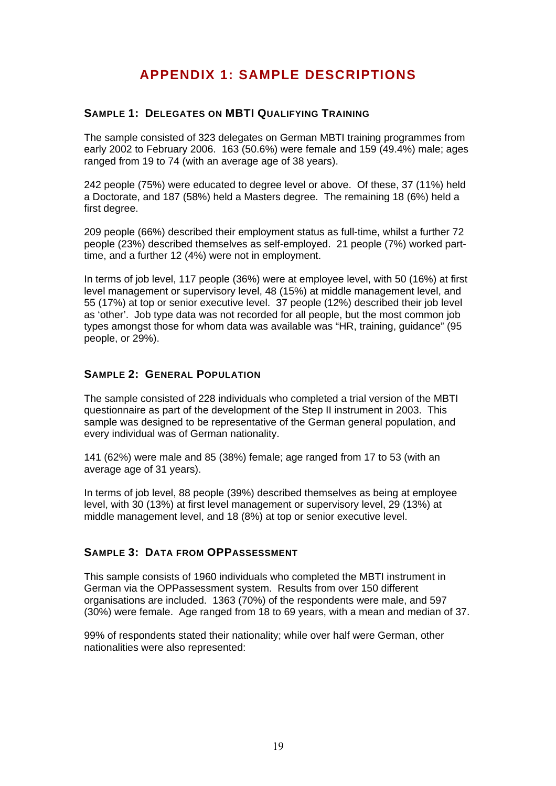# **APPENDIX 1: SAMPLE DESCRIPTIONS**

#### <span id="page-18-0"></span>**SAMPLE 1: DELEGATES ON MBTI QUALIFYING TRAINING**

The sample consisted of 323 delegates on German MBTI training programmes from early 2002 to February 2006. 163 (50.6%) were female and 159 (49.4%) male; ages ranged from 19 to 74 (with an average age of 38 years).

242 people (75%) were educated to degree level or above. Of these, 37 (11%) held a Doctorate, and 187 (58%) held a Masters degree. The remaining 18 (6%) held a first degree.

209 people (66%) described their employment status as full-time, whilst a further 72 people (23%) described themselves as self-employed. 21 people (7%) worked parttime, and a further 12 (4%) were not in employment.

In terms of job level, 117 people (36%) were at employee level, with 50 (16%) at first level management or supervisory level, 48 (15%) at middle management level, and 55 (17%) at top or senior executive level. 37 people (12%) described their job level as 'other'. Job type data was not recorded for all people, but the most common job types amongst those for whom data was available was "HR, training, guidance" (95 people, or 29%).

#### **SAMPLE 2: GENERAL POPULATION**

The sample consisted of 228 individuals who completed a trial version of the MBTI questionnaire as part of the development of the Step II instrument in 2003. This sample was designed to be representative of the German general population, and every individual was of German nationality.

141 (62%) were male and 85 (38%) female; age ranged from 17 to 53 (with an average age of 31 years).

In terms of job level, 88 people (39%) described themselves as being at employee level, with 30 (13%) at first level management or supervisory level, 29 (13%) at middle management level, and 18 (8%) at top or senior executive level.

#### **SAMPLE 3: DATA FROM OPPASSESSMENT**

This sample consists of 1960 individuals who completed the MBTI instrument in German via the OPPassessment system. Results from over 150 different organisations are included. 1363 (70%) of the respondents were male, and 597 (30%) were female. Age ranged from 18 to 69 years, with a mean and median of 37.

99% of respondents stated their nationality; while over half were German, other nationalities were also represented: